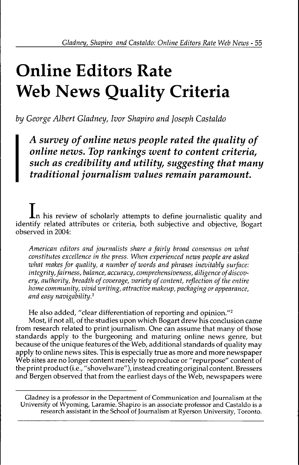# **Online Editors Rate Web News Quality Criteria**

*by George Albert Gladney, Ivor Shapiro and Joseph Gastaldo*

*A survey of online news people rated the quality of online news. Top rankings went to content criteria, such as credibility and utility, suggesting that many traditional journalism values remain paramount.*

 $\mathbf{I}_n$  his review of scholarly attempts to define journalistic quality and identify related attributes or criteria, both subjective and objective, Bogart observed in 2004:

*American editors and journalists share a fairly broad consensus on what constitutes excellence in the press. When experienced news people are asked what makes for quality, a number of words and phrases inevitably surface: integrity, fairness, balance, accuracy, comprehensiveness, diligence of discov*ery, authority, breadth of coverage, variety of content, reflection of the entire *home community, vivid writing, attractive makeup, packaging or appearance, and easy navigability.^*

He also added, "clear differentiation of reporting and opinion."<sup>2</sup>

Most, if not all, of the studies upon which Bogart drew his conclusion came from research related to print journalism. One can assume that many of those standards apply to the burgeoning and maturing online news genre, but because of the unique features of the Web, additional standards of quality may apply to online news sites. This is especially true as more and more newspaper Web sites are no longer content merely to reproduce or "repurpose" content of the print product (i.e., "shovelware"), instead creating original content. Bressers and Bergen observed that from the earliest days of the Web, newspapers were

Gladney is a professor in the Department of Communication and Journalism at the University of Wyoming, Laramie. Shapiro is an associate professor and Castaldo is a research assistant in the School of Journalism at Ryerson University, Toronto.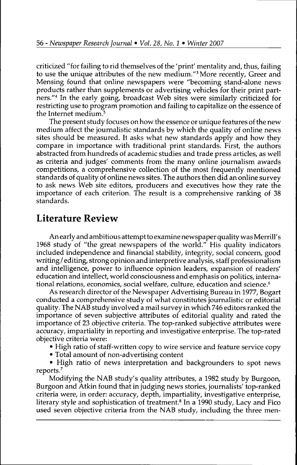criticized "for failing to rid themselves of the 'print' mentality and, thus, failing to use the unique attributes of the new medium."' More recently, Greer and Mensing found that online newspapers were "becoming stand-alone news products rather than supplements or advertising vehicles for their print partners."\* In the early going, broadcast Web sites were similarly criticized for restricting use to program promotion and failing to capitalize on the essence of the Internet medium. $5$ 

The present study focuses on how the essence or unique features of the new medium affect the journalistic standards by which the quality of online news sites should be measured. It asks what new standards apply and how they compare in importance with traditional print standards. First, the authors abstracted from hundreds of academic studies and trade press articles, as well as criteria and judges' comments from the many online journalism awards competitions, a comprehensive collection of the most frequently mentioned standards of quality of online news sites. The authors then did an online survey to ask news Web site editors, producers and executives how they rate the importance of each criterion. The result is a comprehensive ranking of 38 standards.

## Literature Review

An early and ambitious attempt to examine newspaper quality was Merrill's 1968 study of "the great newspapers of the world." His quality indicators included independence and financial stability, integrity, social concern, good writing / editing, strong opinion and interpretive analysis, staff professionalism and intelligence, power to influence opinion leaders, expansion of readers' education and intellect, world consciousness and emphasis on politics, international relations, economics, social welfare, culture, education and science.<sup>6</sup>

As research director of the Newspaper Advertising Bureau in 1977, Bogart conducted a comprehensive study of what constitutes journalistic or editorial quality. The NAB study involved a mail survey in which 746 editors ranked the importance of seven subjective attributes of editorial quality and rated the importance of 23 objective criteria. The top-ranked subjective attributes were accuracy, impartiality in reporting and investigative enterprise. The top-rated objective criteria were:

- High ratio of staff-written copy to wire service and feature service copy
- Total amount of non-advertising content

• High ratio of news interpretation and backgrounders to spot news reports.''

Modifying the NAB study's quality attributes, a 1982 study by Burgoon, Burgoon and Atkin found that in judging news stories, journalists' top-ranked criteria were, in order: accuracy, depth, impartiality, investigative enterprise, literary style and sophistication of treatment.<sup>8</sup> In a 1990 study, Lacy and Fico used seven objective criteria from the NAB study, including the three men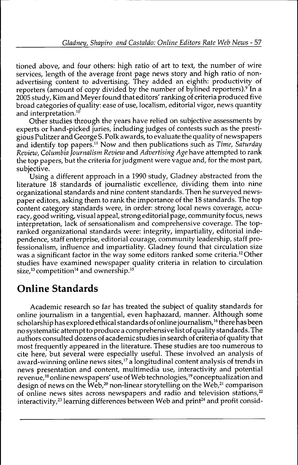tioned above, and four others: high ratio of art to text, the number of wire services, length of the average front page news story and high ratio of nonadvertising content to advertising. They added an eighth: productivity of reporters (amount of copy divided by the number of bylined reporters).<sup>9</sup> In a 2005 study, Kim and Meyer found that editors' ranking of criteria produced five broad categories of quality: ease of use, localism, editorial vigor, news quantity and interpretation.<sup>10</sup>

Other studies through the years have relied on subjective assessments by experts or hand-picked juries, including judges of contests such as the prestigious Pulitzer and George S. Polk awards, to evaluate the quality of newspapers and identify top papers." Now and then publications such as *Time, Saturday Review, Columbia Journalism Review* and *Advertising Age* have attempted to rank the top papers, but the criteria for judgment were vague and, for the most part, subjective.

Using a different approach in a 1990 study, Gladney abstracted from the literature 18 standards of journalistic excellence, dividing them into nine organizational standards and nine content standards. Then he surveyed newspaper editors, asking them to rank the importance of the 18 standards. The top content category standards were, in order: strong local news coverage, accuracy, good writing, visual appeal, strong editorial page, commuruty focus, news interpretation, lack of sensationalism and comprehensive coverage. The topranked organizational standards were: integrity, impartiality, editorial independence, staff enterprise, editorial courage, community leadership, staff professionalism, influence and impartiality. Gladney found that circulation size was a significant factor in the way some editors ranked some criteria.<sup>12</sup> Other studies have examined newspaper quality criteria in relation to circulation size,<sup>13</sup> competition<sup>14</sup> and ownership.<sup>15</sup>

## Online Standards

Academic research so far has treated the subject of quality standards for online journalism in a tangential, even haphazard, manner. Although some scholarship has explored ethical standards of online journalism,<sup>16</sup> there has been no systematic attempt to produce a comprehensive list of quality standards. The authors consulted dozens of academic studies in search of criteria of quality that most frequently appeared in the literature. These studies are too numerous to cite here, but several were especially useful. These involved an analysis of award-winning online news sites,"' a longitudinal content analysis of trends in news presentation and content, multimedia use, interactivity and potential revenue,<sup>18</sup> online newspapers' use of Web technologies,<sup>19</sup> conceptualization and design of news on the Web,<sup>20</sup> non-linear storytelling on the Web,<sup>21</sup> comparison of online news sites across newspapers and radio and television stations,<sup>22</sup> interactivity,<sup>23</sup> learning differences between Web and print<sup>24</sup> and profit consid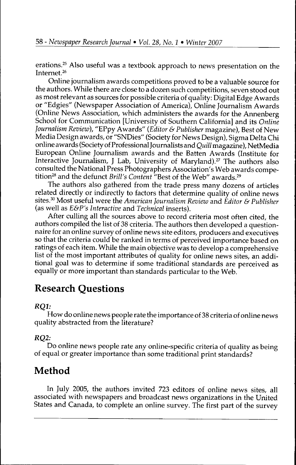erations.<sup>25</sup> Also useful was a textbook approach to news presentation on the Internet. $26$ 

Online journalism awards competitions proved to be a valuable source for the authors. While there are close to a dozen such competitions, seven stood out as most relevant as sources for possible criteria of quality: Digital Edge Awards or "Edgies" (Newspaper Association of America), Online Journalism Awards (Online News Association, which administers the awards for the Annenberg School for Communication [University of Southern California] and its *Online Journalism Review),* "EPpy Awards" *{Editor & Publisher* magazine). Best of New Media Design awards, or "SNDies" (Society for News Design), Sigma Delta Chi online awards (Society of Professional Journalists and *Quill* magazine), NetMedia European Online Journalism awards and the Batten Awards (Institute for Interactive Journalism, J Lab, University of Maryland).<sup>27</sup> The authors also consulted the National Press Photographers Association's Web awards competition<sup>28</sup> and the defunct *Brill's Content* "Best of the Web" awards.<sup>29</sup>

The authors also gathered from the trade press many dozens of articles related directly or indirectly to factors that determine quality of online news sites.^" Most useful were the *American Journalism Review* and *Editor & Publisher* (as well as *E&P's Interactive* and *Technical* inserts).

After culling all the sources above to record criteria most often cited, the authors compiled the list of 38 criteria. The authors then developed a questionnaire for an online survey of online news site editors, producers and executives so that the criteria could be ranked in terms of perceived importance based on ratings of each item. While the main objective was to develop a comprehensive list of the most important attributes of quality for online news sites, an additional goal was to determine if some traditional standards are perceived as equally or more important than standards particular to the Web.

## Research Questions

### **RO1:**

How do online news people rate the importance of 38 criteria of online news quality abstracted from the literature?

### RQ2:

Do online news people rate any online-specific criteria of quality as being of equal or greater importance than some traditional print standards?

## Method

In July 2005, the authors invited 723 editors of online news sites, all associated with newspapers and broadcast news organizations in the United States and Canada, to complete an online survey. The first part of the survey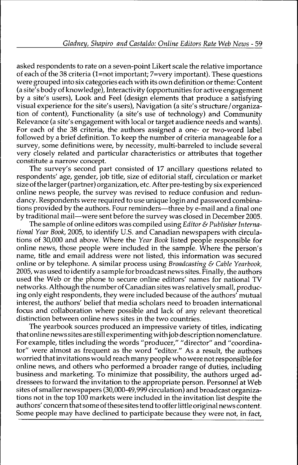asked respondents to rate on a seven-point Likert scale the relative importance of each of the 38 criteria (l=not important; 7=very important). These questions were grouped into six categories each with its own definition or theme: Content (a site's body of knowledge). Interactivity (opportunities for active engagement by a site's users). Look and Feel (design elements that produce a satisfying visual experience for the site's users). Navigation (a site's structure/organization of content). Functionality (a site's use of technology) and Community Relevance (a site's engagement with local or target audience needs and wants). For each of the 38 criteria, the authors assigned a one- or two-word label followed by a brief definition. To keep the number of criteria manageable for a survey, some definitions were, by necessity, multi-barreled to include several very closely related and particular characteristics or attributes that together constitute a narrow concept.

The survey's second part consisted of 17 ancillary questions related to respondents' age, gender, job title, size of editorial staff, circulation or market size of the larger (partner) organization, etc. After pre-testing by six experienced online news people, the survey was revised to reduce corifusion and redundancy. Respondents were required to use unique login and password combinations provided by the authors. Four reminders—three by e-mail and a final one by traditional mail—were sent before the survey was closed in December 2005.

The sample of online editors was compiled using *Editor & Publisher International Year Book,* 2005, to identify U.S. and Canadian newspapers with circulations of 30,000 and above. Where the *Year Book* listed people responsible for online news, those people were included in the sample. Where the person's name, title and email address were not listed, this information was secured online or by telephone. A similar process using *Broadcasting & Cable Yearbook,* 2005, was used to identify a sample for broadcast news sites. Finally, the authors used the Web or the phone to secure online editors' names for national TV networks. Although the number of Canadian sites was relatively small, producing only eight respondents, they were included because of the authors' mutual interest, the authors' belief that media scholars need to broaden international focus and collaboration where possible and lack of any relevant theoretical distinction between online news sites in the two countries.

The yearbook sources produced an impressive variety of titles, indicating that online news sites are still experimenting with job description nomenclature. For example, titles including the words "producer," "director" and "coordinator" were almost as frequent as the word "editor." As a result, the authors worried that invitations would reach many people who were not responsible for online news, and others who performed a broader range of duties, including business and marketing. To minimize that possibility, the authors urged addressees to forward the invitation to the appropriate person. Personnel at Web si tes of smaller newspapers (30,000-49,999 circulation) and broadcast organizations not in the top 100 markets were included in the invitation list despite the authors' concern that some of these sites tend to offer little original news content. Some people may have declined to participate because they were not, in fact.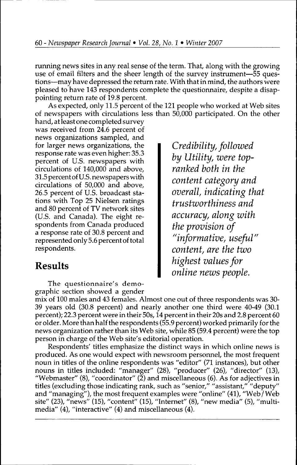running news sites in any real sense of the term. That, along with the growing use of email filters and the sheer length of the survey instrument—55 questions—may have depressed the return rate. With that in mind, the authors were pleased to have 143 respondents complete the questionnaire, despite a disappointing return rate of 19.8 percent.

As expected, only 11.5 percent of the 121 people who worked at Web sites of newspapers with circulations less than 50,000 participated. On the other

hand, at least one completed survey was received from 24.6 percent of news organizations sampled, and for larger news organizations, the response rate was even higher: 35.3 percent of U.S. newspapers with circulations of 140,000 and above, 31.5 percent of U.S. newspapers with circulations of 50,000 and above, 26,5 percent of U.S. broadcast stations with Top 25 Nielsen ratings and 80 percent of TV network sites (U.S. and Canada). The eight respondents from Canada produced a response rate of 30.8 percent and represented only 5.6 percent of total respondents.

## Results

The questionnaire's demographic section showed a gender

mix of 100 males and 43 females. Almost one out of three respondents was 30- 39 years old (30.8 percent) and nearly another one third were 40-49 (30.1 percent); 22.3 percent were in their 50s, 14 percent in their 20s and 2,8 percent 60 or older. More than half the respondents (55.9 percent) worked primarily for the news organization rather than its Web site, while 85 (59.4 percent) were the top person in charge of the Web site's editorial operation.

Respondents' titles emphasize the distinct ways in which online news is produced. As one would expect with newsroom personnel, the most frequent noun in titles of the online respondents was "editor" (71 instances), but other nouns in titles included: "manager" (28), "producer" (26), "director" (13), "Webmaster" (8), "coordinator" ( $\check{2}$ ) and miscellaneous (6). As for adjectives in titles (excluding those indicating rank, such as "senior," "assistant," "deputy" and "managing"), the most frequent examples were "online" (41), "Web/Web site" (23), "news" (15), "content" (15), "Internet" (8), "new media" (5), "multimedia" (4), "interactive" (4) and miscellaneous (4).

*Credibility, followed by Utility, were topranked both in the content category and overall, indicating that trustworthiness and accuracy, along with the provision of "informative, useful" content, are the two highest values for online news people.*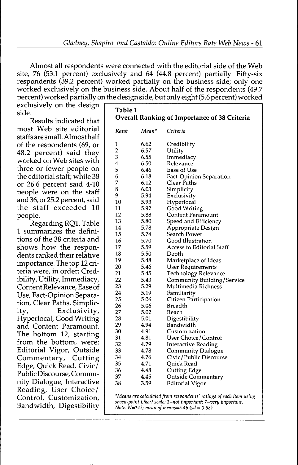Almost all respondents were connected with the editorial side of fhe Web site, 76 (53.1 percent) exclusively and 64 (44.8 percent) partially. Fifty-six respondents (39.2 percent) worked partially on the business side; only one worked exclusively on the business side. About half of the respondents (49.7 percent) worked partially on the design side, but only eight (5.6 percent) worked

exclusively on the design side.

Results indicated that most Web site editorial staffs are small. Almost half of the respondents (69, or 48.2 percent) said fhey worked on Web sites with three or fewer people on the editorial staff; while 38 or 26.6 percent said 4-10 people were on the staff and 36, or 25.2 percent, said fhe staff exceeded 10 people.

Regarding RQl, Table 1 summarizes the definitions of fhe 38 criteria and shows how fhe respondents ranked their relative importance. The fop 12 criteria were, in order: Credibility, Utility, Immediacy, Content Relevance, Ease of Use, Fact-Opinion Separation, Clear Paths, Simplicity, Exclusivity, Hyperlocal, Good Writing and Content Paramount. The bottom 12, starting from the bottom, were: Editorial Vigor, Outside Commentary, Cutting Edge, Quick Read, Civic/ Public Discourse, Community Dialogue, Interactive Reading, User Choice/ Control, Customization, Bandwidth, Digestibility

| Table 1<br><b>Overall Ranking of Importance of 38 Criteria</b> |       |                            |  |  |  |  |
|----------------------------------------------------------------|-------|----------------------------|--|--|--|--|
| Rank                                                           | Mean* | Criteria                   |  |  |  |  |
| 1                                                              | 6.62  | Credibility                |  |  |  |  |
| $\overline{c}$                                                 | 6.57  | Utility                    |  |  |  |  |
| 3                                                              | 6.55  | Immediacy                  |  |  |  |  |
| 4                                                              | 6.50  | Relevance                  |  |  |  |  |
| 5                                                              | 6.46  | Ease of Use                |  |  |  |  |
| 6                                                              | 6.18  | Fact-Opinion Separation    |  |  |  |  |
| 7                                                              | 6.12  | Clear Paths                |  |  |  |  |
| 8                                                              | 6.03  | Simplicity                 |  |  |  |  |
| 9                                                              | 5.94  | Exclusivity                |  |  |  |  |
| 10                                                             | 5.93  | Hyperlocal                 |  |  |  |  |
| 11                                                             | 5.92  | Good Writing               |  |  |  |  |
| 12                                                             | 5.88  | <b>Content Paramount</b>   |  |  |  |  |
| 13                                                             | 5.80  | Speed and Efficiency       |  |  |  |  |
| 14                                                             | 5.78  | Appropriate Design         |  |  |  |  |
| 15                                                             | 5.74  | Search Power               |  |  |  |  |
| 16                                                             | 5.70  | Good Illustration          |  |  |  |  |
| 17                                                             | 5.59  | Access to Editorial Staff  |  |  |  |  |
| 18                                                             | 5.50  | Depth                      |  |  |  |  |
| 19                                                             | 5.48  | Marketplace of Ideas       |  |  |  |  |
| 20                                                             | 5.46  | <b>User Requirements</b>   |  |  |  |  |
| 21                                                             | 5.45  | Technology Relevance       |  |  |  |  |
| 22                                                             | 5.43  | Community Building/Service |  |  |  |  |
| 23                                                             | 5.29  | Multimedia Richness        |  |  |  |  |
| 24                                                             | 5.19  | Familiarity                |  |  |  |  |
| 25                                                             | 5.06  | Citizen Participation      |  |  |  |  |
| 26                                                             | 5.06  | Breadth                    |  |  |  |  |
| 27                                                             | 5.02  | Reach                      |  |  |  |  |
| 28                                                             | 5.01  | Digestibility              |  |  |  |  |
| 29                                                             | 4.94  | Bandwidth                  |  |  |  |  |
| 30                                                             | 4.91  | Customization              |  |  |  |  |
| 31                                                             | 4.81  | User Choice/Control        |  |  |  |  |
| 32                                                             | 4.79  | <b>Interactive Reading</b> |  |  |  |  |
| 33                                                             | 4.78  | <b>Community Dialogue</b>  |  |  |  |  |
| 34                                                             | 4.76  | Civic/Public Discourse     |  |  |  |  |
| 35                                                             | 4.71  | Quick Read                 |  |  |  |  |
| 36                                                             | 4.48  | <b>Cutting Edge</b>        |  |  |  |  |
| 37                                                             | 4.45  | Outside Commentary         |  |  |  |  |
| 38                                                             | 3.59  | Editorial Vigor            |  |  |  |  |

*'Means are calculated from respondents' ratings of each item using seven-poin. Likerl scate: l=nol important; 7=very important. Note: N=143; mean of means=5.46 (sd = 0.58)*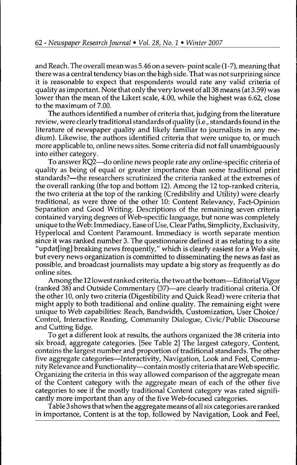and Reach. The overall mean was 5.46 on a seven- point scale (1-7), meaning that there was a central tendency bias on the high side. That was not surprising since it is reasonable to expect that respondents would rate any valid criteria of quality as important. Note that only the very lowest of all 38 means (at 3.59) was lower than the mean of the Likert scale, 4.00, while the highest was 6.62, close to the maximum of 7.00.

The authors identified a number of criteria that, judging from the literature review, were clearly traditional standards of quality (i.e., standards found in the literature of newspaper quality and likely familiar to journalists in any medium). Likewise, the authors identified criteria that were unique to, or much more applicable to, online news sites. Some criteria did not fall unambiguously into either category.

To answer RQ2—do online news people rate any online-specific criteria of quality as being of equal or greater importance than some traditional print standards?—the researchers scrutinized the criteria ranked at the extremes of the overall ranking (the top and bottom 12). Among the 12 top-ranked criteria, the two criteria at the top of the ranking (Credibility and Utility) were clearly traditional, as were three of the other 10: Content Relevancy, Fact-Opinion Separation and Good Writing. Descriptions of the remaining seven criteria contained varying degrees of Web-specific language, but none was completely unique to the Web: Immediacy, Ease of Use, Clear Paths, Simplicity, Exclusivity, Hyperlocal and Content Paramount. Immediacy is worth separate mention since it was ranked number 3. The questionnaire defined it as relating to a site "updat[ing] breaking news frequently," which is clearly easiest for a Web site, but every news organization is committed to disseminating the news as fast as possible, and broadcast journalists may update a big story as frequently as do online sites.

Among the 12 lowest ranked criteria, the two at the bottom—Editorial Vigor (ranked 38) and Outside Commentary (37)—are clearly traditional criteria. Of the other 10, only two criteria (Digestibility and Quick Read) were criteria that might apply to both traditional and online quality. The remaining eight were unique to Web capabilities: Reach, Bandwidth, Customization, User Choice/ Control, Interactive Reading, Community Dialogue, Civic/Public Discourse and Cutting Edge.

To get a different look at results, the authors organized the 38 criteria into six broad, aggregate categories. [See Table 2] The largest category. Content, contains the largest number and proportion of traditional standards. The other five aggregate categories—Interactivity, Navigation, Look and Feel, Community Relevance and Functionality—contain mostly criteria that are Web specific. Organizing the criteria in this way allowed comparison of the aggregate mean of the Content category with the aggregate mean of each of the other five categories to see if the mostly traditional Content category was rated significantly more important than any of the five Web-focused categories.

Table 3 shows that when the aggregate means of all six categories are ranked in importance. Content is at the top, followed by Navigation, Look and Feel,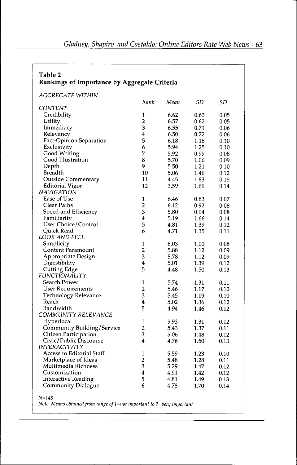| Table 2<br>Rankings of Importance by Aggregate Criteria |                         |      |      |      |  |  |
|---------------------------------------------------------|-------------------------|------|------|------|--|--|
| AGGREGATE WITHIN                                        |                         |      |      |      |  |  |
|                                                         | Rank                    | Mean | SD   | SD   |  |  |
| CONTENT                                                 |                         |      |      |      |  |  |
| Credibility                                             | 1                       | 6.62 | 0.63 | 0.05 |  |  |
| Utility                                                 | $\overline{\mathbf{c}}$ | 6.57 | 0.62 | 0.05 |  |  |
| Immediacy                                               | 3                       | 6.55 | 0.71 | 0.06 |  |  |
| Relevancy                                               | $\overline{4}$          | 6.50 | 0.72 | 0.06 |  |  |
| <b>Fact-Opinion Separation</b>                          | 5                       | 6.18 | 1.16 | 0.10 |  |  |
| Exclusivity                                             | 6                       | 5.94 | 1.25 | 0.10 |  |  |
| Good Writing                                            | 7                       | 5.92 | 0.99 | 0.08 |  |  |
| Good Illustration                                       | 8                       | 5.70 | 1.06 | 0.09 |  |  |
| Depth                                                   | 9                       | 5.50 | 1.21 | 0.10 |  |  |
| Breadth                                                 | 10                      | 5.06 | 1.46 | 0.12 |  |  |
| Outside Commentary                                      | 11                      | 4.45 | 1.83 | 0.15 |  |  |
| <b>Editorial Vigor</b>                                  | 12                      | 3.59 | 1.69 | 0.14 |  |  |
| NAVIGATION                                              |                         |      |      |      |  |  |
| Ease of Use                                             | 1                       | 6.46 | 0.83 | 0.07 |  |  |
| Clear Paths                                             | 2                       | 6.12 | 0.92 | 0.08 |  |  |
| Speed and Efficiency                                    | 3                       | 5.80 | 0.94 | 0.08 |  |  |
| Familiarity                                             | 4                       | 5.19 | 1.66 | 0.14 |  |  |
| User Choice/Control                                     | 5                       | 4.81 | 1.39 | 0.12 |  |  |
| Ouick Read                                              | 6                       | 4.71 | 1.35 | 0.11 |  |  |
| LOOK AND FEEL                                           |                         |      |      |      |  |  |
| Simplicity                                              | 1                       | 6.03 | 1.00 | 0.08 |  |  |
| Content Paramount                                       | $\overline{2}$          | 5.88 | 1.12 | 0.09 |  |  |
| Appropriate Design                                      | 3                       | 5.78 | 1.12 | 0.09 |  |  |
| Digestibility                                           | 4                       | 5.01 | 1.39 | 0.12 |  |  |
| <b>Cutting Edge</b>                                     | 5                       | 4.48 | 1.50 | 0.13 |  |  |
| <i>FUNCTIONALITY</i>                                    |                         |      |      |      |  |  |
| Search Power                                            | 1                       | 5.74 | 1.31 | 0.11 |  |  |
| <b>User Requirements</b>                                | $\overline{\mathbf{c}}$ | 5.46 | 1.17 | 0.10 |  |  |
| Technology Relevance                                    | 3                       | 5.45 | 1.19 | 0.10 |  |  |
| Reach                                                   | $\overline{\bf 4}$      | 5.02 | 1.36 | 0.12 |  |  |
| Bandwidth                                               | 5                       | 4.94 | 1.46 | 0.12 |  |  |
| COMMUNITY RELEVANCE                                     |                         |      |      |      |  |  |
|                                                         | 1                       |      |      |      |  |  |
| Hyperlocal                                              | $\overline{2}$          | 5.93 | 1.31 | 0.12 |  |  |
| Community Building/Service                              |                         | 5.43 | 1.37 | 0.11 |  |  |
| Citizen Participation<br>Civic/Public Discourse         | 3<br>4                  | 5.06 | 1.48 | 0.12 |  |  |
|                                                         |                         | 4.76 | 1.60 | 0.13 |  |  |
| <i><b>INTERACTIVITY</b></i>                             |                         |      |      |      |  |  |
| Access to Editorial Staff                               | 1                       | 5.59 | 1.23 | 0.10 |  |  |
| Marketplace of Ideas<br>Multimedia Richness             | 2<br>3                  | 5.48 | 1.28 | 0.11 |  |  |
|                                                         |                         | 5.29 | 1.47 | 0.12 |  |  |
| Customization                                           | 4                       | 4.91 | 1.42 | 0.12 |  |  |
| <b>Interactive Reading</b><br>Community Dialogue        | 5                       | 4.81 | 1.49 | 0.13 |  |  |
|                                                         | 6                       | 4.78 | 1.70 | 0.14 |  |  |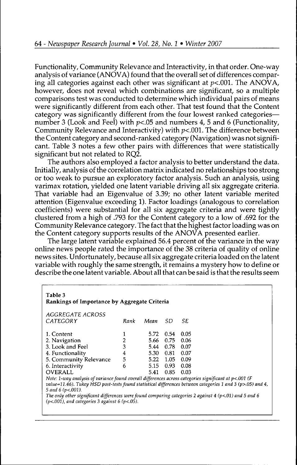Functionality, Community Relevance and Interactivity, in that order. One-way analysis of variance (ANOVA) found that the overall set of differences comparing all categories against each other was significant at  $p<.001$ . The ANOVA, however, does not reveal which combinations are significant, so a multiple comparisons test was conducted to determine which individual pairs of means were significantly different from each other. That test found that the Content category was significantly different from the four lowest ranked categories number 3 (Look and Feel) with  $p<0$ 5 and numbers 4, 5 and 6 (Functionality, Community Relevance and Interactivity) with  $p<.001$ . The difference between the Content category and second-ranked category (Navigation) was not significant. Table 3 notes a few other pairs with differences that were statistically significant but not related to RO2.

The authors also employed a factor analysis to better understand the data. Initially, analysis of the correlation matrix indicated no relationships too strong or too weak to pursue an exploratory factor analysis. Such an analysis, using varimax rotation, yielded one latent variable driving all six aggregate criteria. That variable had an Eigenvalue of 3.39; no other latent variable merited attention (Eigenvalue exceeding 1). Factor loadings (analogous to correlation coefficients) were substantial for all six aggregate criteria and were tightly clustered from a high of .793 for the Content category to a low of .692 for the Community Relevance category. The fact that the highest factor loading was on the Content category supports results of the ANOVA presented earlier.

The large latent variable explained 56.4 percent of the variance in the way online news people rated the importance of the 38 criteria of quality of online news sites. Unfortimately, because all six aggregate criteria loaded on the latent variable with roughly the same strength, it remains a mystery how to define or describe the one latent variable. About all that can be said is that the results seem

| Table 3<br>Rankings of Importance by Aggregate Criteria                                                                                                                                                                                                                                                                                                       |                |      |      |      |  |  |  |  |
|---------------------------------------------------------------------------------------------------------------------------------------------------------------------------------------------------------------------------------------------------------------------------------------------------------------------------------------------------------------|----------------|------|------|------|--|--|--|--|
| AGGREGATE ACROSS                                                                                                                                                                                                                                                                                                                                              |                |      |      |      |  |  |  |  |
| CATEGORY                                                                                                                                                                                                                                                                                                                                                      | Rank           | Mean | SD.  | SE   |  |  |  |  |
| 1. Content                                                                                                                                                                                                                                                                                                                                                    |                | 5.72 | 0.54 | 0.05 |  |  |  |  |
| 2. Navigation                                                                                                                                                                                                                                                                                                                                                 | 2              | 5.66 | 0.75 | 0.06 |  |  |  |  |
| 3. Look and Feel                                                                                                                                                                                                                                                                                                                                              | 3              | 5.44 | 0.78 | 0.07 |  |  |  |  |
| 4. Functionality                                                                                                                                                                                                                                                                                                                                              | 4              | 5.30 | 0.81 | 0.07 |  |  |  |  |
| 5. Community Relevance                                                                                                                                                                                                                                                                                                                                        | 5 <sup>1</sup> | 5.22 | 1.05 | 0.09 |  |  |  |  |
| 6. Interactivity                                                                                                                                                                                                                                                                                                                                              | 6              | 5.15 | 0.93 | 0.08 |  |  |  |  |
| <b>OVERALL</b>                                                                                                                                                                                                                                                                                                                                                |                | 5.41 | 0.85 | 0.03 |  |  |  |  |
| Note: 1-way analysis of variance found overall differences across categories significant at $p<.001$ (F<br>value=11.46). Tukey HSD post-tests found statistical differences between categories 1 and 3 (p>.05) and 4,<br>5 and 6 ( $p < .001$ ).<br>The only other significant differences were found comparing categories 2 against 4 ( $p<01$ ) and 5 and 6 |                |      |      |      |  |  |  |  |
| $(p<.001)$ , and categories 3 against 6 (p<.05).                                                                                                                                                                                                                                                                                                              |                |      |      |      |  |  |  |  |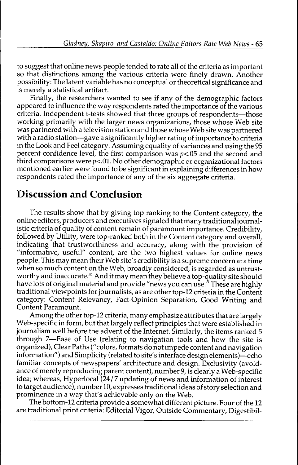to suggest that online news people tended to rate all of the criteria as important so that distinctions among the various criteria were finely drawn. Another possibility: The latent variable has no conceptual or theoretical significance and is merely a statistical artifact.

Finally, the researchers wanted to see if any of the demographic factors appeared to influence the way respondents rated the importance of the various criteria. Independent t-tests showed that three groups of respondents—those working primarily with the larger news organizations, those whose Web site was partnered with a television station and those whose Web site was partnered with a radio station—gave a significantly higher rating of importance to criteria in the Look and Feel category. Assuming equality of variances and using the 95 percent confidence level, the first comparison was *p<.05* and the second and third comparisons were  $p<.01$ . No other demographic or organizational factors mentioned earlier were found to be significant in explaining differences in how respondents rated the importance of any of the six aggregate criteria.

## Discussion and Conclusion

The results show that by giving top ranking to the Content category, the online editors, producers and executives signaled that many traditional journalistic criteria of quality of content remain of paramount importance. Credibility, followed by Utility, were top-ranked both in the Content category and overall, indicating that trustworthiness and accuracy, along with the provision of "informative, useful" content, are the two highest values for online news people. This may mean their Web site's credibility is a supreme concern at a time when so much content on the Web, broadly considered, is regarded as untrustworthy and inaccurate.<sup>31</sup> And it may mean they believe a top-quality site should have lots of original material and provide "news you can use." These are highly traditional viewpoints for journalists, as are other top-12 criteria in the Content category: Content Relevancy, Fact-Opinion Separation, Good Writing and Content Paramount.

Among the other top-12 criteria, many emphasize attributes that are largely Web-specific in form, but that largely reflect principles that were established in journalism well before the advent of the Internet. Similarly, the items ranked 5 through 7—Ease of Use (relating to navigation tools and how the site is organized). Clear Paths ("colors, formats do not impede content and navigation information") and Simplicity (related to site's interface design elements)—echo familiar concepts of newspapers' architecture and design. Exclusivity (avoidance of merely reproducing parent content), number 9, is clearly a Web-specific idea; whereas, Hyperlocal (24/7 updating of news and information of interest to target audience), number 10, expresses traditional ideas of story selection and prominence in a way that's achievable only on the Web.

The bottom-12 criteria provide a somewhat different picture. Four of the 12 are traditional print criteria: Editorial Vigor, Outside Commentary, Digestibil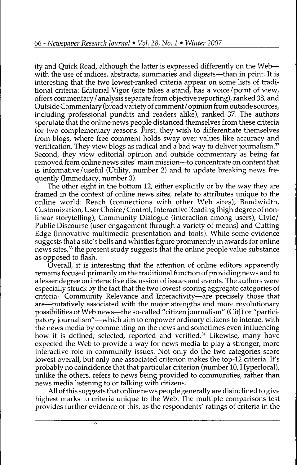ity and Quick Read, although the latter is expressed differently on the Web with the use of indices, abstracts, summaries and digests—than in print. It is interesting that the two lowest-ranked criteria appear on some lists of traditional criteria: Editorial Vigor (site takes a stand, has a voice/point of view, offers commentary / analysis separate from objective reporting), ranked 38, and Outside Commentary (broad variety of comment / opinion from outside sources, including professional pundits and readers alike), ranked 37. The authors speculate that the online news people distanced themselves from these criteria for two complementary reasons. First, they wish to differentiate themselves from blogs, where free comment holds sway over values like accuracy and verification. They view blogs as radical and a bad way to deliver journalism.<sup>32</sup> Second, they view editorial opinion and outside commentary as being far removed from online news sites' main mission—to concentrate on content that is informative / useful (Utility, number 2) and to update breaking news frequently (Immediacy, number 3).

The other eight in the bottom 12, either explicitly or by the way they are framed in the context of online news sites, relate to attributes unique to the online world: Reach (connections with other Web sites). Bandwidth, Customization, User Choice / Control, Interactive Reading (high degree of nonlinear storytelling). Community Dialogue (interaction among users). Civic/ Public Discourse (user engagement through a variety of means) and Cutting Edge (innovative multimedia presentation and tools). While some evidence suggests that a site's bells and whistles figure prominently in awards for online news sites,<sup>33</sup> the present study suggests that the online people value substance as opposed to flash.

Overall, it is interesting that the attention of online editors apparently remains focused primarily on the traditional function of providing news and to a lesser degree on interactive discussion of issues and events. The authors were especially struck by the fact that the two lowest-scoring aggregate categories of criteria—Community Relevance and Interactivity—are precisely those that are—putatively associated with the major strengths and more revolutionary possibilities of Web news—the so-called "citizen journalism" (CitJ) or "participatory journalism"—which aim to empower ordinary citizens to interact with the news media by commenting on the news and sometimes even influencing how it is defined, selected, reported and verified.<sup>34</sup> Likewise, many have expected the Web to provide a way for news media to play a stronger, more interactive role in community issues. Not only do the two categories score lowest overall, but only one associated criterion makes the top-12 criteria. It's probably no coincidence that that particular criterion (number 10, Hyperlocal), unlike the others, refers to news being provided to communities, rather than news media listening to or talking w^ith citizens.

All of this suggests that online news people generally are disinclined to give highest marks to criteria unique to the Web. The multiple comparisons test provides further evidence of this, as the respondents' ratings of criteria in the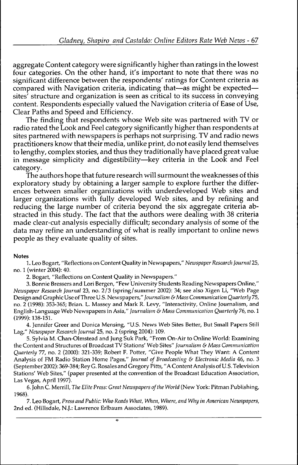aggregate Content category were significantly higher than ratings in the lowest four categories. On the other hand, it's important to note that there was no significant difference between the respondents' ratings for Content criteria as compared with Navigation criteria, indicating that—as might be expected sites' structure and organization is seen as critical to its success in conveying content. Respondents especially valued the Navigation criteria of Ease of Use, Clear Paths and Speed and Efficiency.

The finding that respondents whose Web site was partnered with TV or radio rated the Look and Feel category significantly higher than respondents at sites partnered with newspapers is perhaps not surprising. TV and radio news practitioners know that their media, unlike print, do not easily lend themselves to lengthy, complex stories, and thus they traditionally have placed great value in message simplicity and digestibility—key criteria in the Look and Feel category.

The authors hope that future research will surmount the weaknesses of this exploratory study by obtaining a larger sample to explore further the differences between smaller organizations with underdeveloped Web sites and larger organizations with fully developed Web sites, and by refining and reducing the large number of criteria beyond the six aggregate criteria abstracted in this study. The fact that the authors were dealing with 38 criteria made clear-cut analysis especially difficult; secondary analysis of some of the data may refine an understanding of what is really important to online news people as they evaluate quality of sites.

#### **Notes**

1. Leo Bogart, "Reflections on Content Quality in Newspapers," *Newspaper Research journal* 25, no. 1 (winter 2004): 40.

2. Bogart, "Reflections on Content Quality in Newspapers."

3. Bonnie Bressers and Lori Bergen, "Few University Students Reading Newspapers Online," *Neiuspaper Research Journal* 23, no. 2/3 (spring/summer 2002): 34; see also Xigen Li, "Web Page Design and Graphic Use of Three U.S. Newspapers," *journalism &Mass Communication Quarterly* 75, no. 2 (1998): 353-365; Brian. L. Massey and Mark R. Levy, "Interactivity, Online Journalism, and English-Language Web Newspapers in Asia," *journalism & Mass Communication Quarterly 76,* no. 1 (1999): 138-151.

4. Jennifer Greer and Donica Mensing, "U.S. News Web Sites Better, But Small Papers Still Lag," *Newspaper Research journal* 25, no. 2 (spring 2004): 109.

5. Sylvia M. Chan-Olmstead and Jung Suk Park, "From On-Air to Online World: Examining the Content and Structures of Broadcast TV Stations' Web Sites" *Journalism & Mass Communication Quarterly 77,* no. 2 (2000): 321-339; Robert F. Potter, "Give People What They Want: A Content Analysis of FM Radio Station Home Pages," *Journal of Broadcasting &• Electronic Media* 46, no. 3 (September 2002): 369-384; Rey G. Rosales and Gregory Pitts, "A Content Analysis of U.S. Television Stations' Web Sites," (paper presented at the convention of the Broadcast Education Association, Las Vegas, April 1997).

6. John C. Merrill, *The Elite Press: Great Newspapers of the World* (New York: Pitman Publishing, 1968).

7. Leo Bogart, Press *and Public: Who Reads What, When, Where, and Why in American Newspapers,* 2nd ed. (Hillsdale, N.J.: Lawrence Erlbaum Associates, 1989).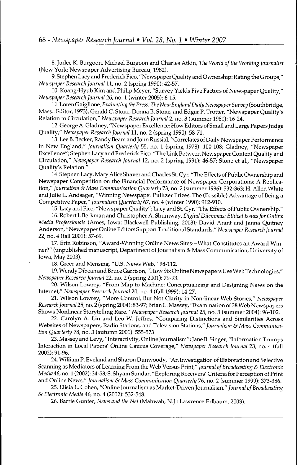8. Judee K. Burgoon, Michael Burgoon and Charles Atkin, *The World ofthe Working Journalist* (New York; Newspaper Advertising Bureau, 1982).

9. Stephen Lacy and Frederick Fico, "Newspaper Quality and Ownership: Rating the Groups," *Newspaper Research Journal* 11, no. 2 (spring 1990): 42-57.

10. Koang-Hyub Kim and Philip Meyer, "Survey Yields Five Factors of Newspaper Quality," *Newspaper Research Journal* 26, no. 1 (winter 2005): 6-15.

11. Loren Ghiglione, *Evaluating the Press: The New England Daily Newspaper Survey* (Southbridge, Mass.: Editor, 1973); Gerald C. Stone, Donna B. Stone; and Edgar P. Trotter, "Newspaper Quality's Relation to Circulation," *Newspaper Research Journal* 2, no. 3 (summer 1981): 16-24.

12. George A. Gladney, "Newspaper Excellence: How Editors of Small and Large Papers Judge Quality," *Newspaper Research Journal* 11, no. 2 (spring 1990): 58-71.

13. Lee B. Becker, Randy Beam and John Russial, "Correlates of Daily Newspaper Performance in New England," *Journalism Quarterly* 55, no. 1 (spring 1978): 100-108; Gladney, "Newspaper Excellence"; Stephen Lacy and Frederick Fico, "The Link Between Newspaper Content Quality and Circulation," *Newspaper Research Journal* 12, no. 2 (spring 1991): 46-57; Stone et al., "Newspaper Quality's Relation."

14. Stephen Lacy, Mary Alice Shaver and Charles St. Cyr, "The Effects of Public Ownership and Newspaper Competition on the Financial Performance of Newspaper Corporations: A Replication," *Journalism* & Mass *Communication Quarterly* 73, no. 2 (summer 1996): 332-363; H. Allen White and Julie L. Andsager, "Winning Newspaper Pulitzer Prizes: The (Possible) Advantage of Being a Competitive *Paper," Journalism Quarterly* 67, no. 4 (winter 1990): 912-910.

15. Lacy and Fico, "Newspaper Quality"; Lacy and St. Cyr, "The Effects of Public Ownership."

16. Robert *I.* Berkman and Christopher A. Shumway, *Digital Dilemmas: Ethical Issues for Online Media Professionals* (Ames, Iowa: Blackwell Publishing, 2003); David Arant and Janna Quitney Anderson, "Newspaper Online Editors Support Traditional Standards," *Newspaper Research Journal* 22, no. 4 (fall 2001): 57-69.

17. Erin Robinson, "Award-Winning Online News Sites—What Constitutes an Award Winner?" (unpublished manuscript. Department of Journalism & Mass Communication, University of Iowa, May 2003).

18. Greer and Mensing, "U.S. News Web," 98-112.

19. Wendy Dibean and Bruce Garrison, "How Six Online Newspapers Use Web Technologies," *Newspaper Research Journal* 22, no. 2 (spring 2001): 79-93.

20. Wilson Lowrey, "From Map to Machine: Conceptualizing and Designing News on the Internet," *Newspaper Research Journal* 20, no. 4 (fall 1999): 14-27.

21. Wilson Lowrey, "More Control, But Not Clarity in Non-linear Web Stories," *Newspaper Research Journal* 25, no. 2 (spring 2004): 83-97; Brian L. Massey, "Examination of 38 Web Newspapers Shows Nonlinear Storytelling Rare," *Newspaper Research Journal* 25, no. 3 (summer 2004): 96-102.

22. Carolyn A. Lin and Leo W. Jeffres, "Comparing Distinctions and Similarities Across Websites of Newspapers, Radio Stations, and Television Stations," *Journalism & Mass Communication Quarterly* 78, no. 3 (autumn 2001): 555-573

23. Massey and Levy, "Interactivity, Online Journalism"; Jane B. Singer, "Information Trumps Interaction in Local Papers' Online Caucus Coverage," *Newspaper Research Journal* 23, no. 4 (fall 2002): 91-96.

24. William P. Eveland and Sharon Dunwoody, "An Investigation of Elaboration and Selective Scarming as Mediators of Learning From the Web Versus Print," *Journal of Broadcasting & Electronic Media* 46, no. 1 (2002): 34-53; S. Shyam Sundar, "Exploring Receivers' Criteria for Perception of Print and Online News," *Journalism & Mass Communication Quarterly* 76, no. 2 (summer 1999): 373-386.

25. Elisia L. Cohen, "Online Journalism as Market-Driven Journalism," *Journal of Broadcasting & Electronic Media* 46, no. 4 (2002): 532-548.

26. Barrie Gunter, *News and the Net* (Mahwah, N.J.: Lawrence Erlbaum, 2003).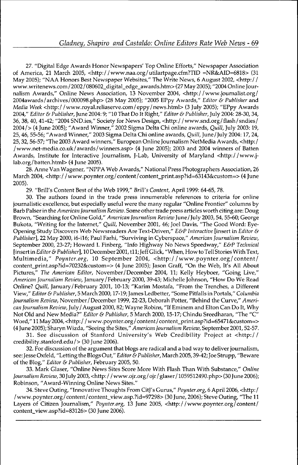27. "Digital Edge Awards Honor Newspapers' Top Online Efforts," Newspaper Association of America, 21 March 2005, <http://www.naa.org/utilartpage.cfm7TID =NR&AID=6818> (31 May 2005); "NAA Honors Best Newspaper Websites," The Write News, 6 August 2002, <http:/ / www.writenews.com/2002/080602\_digital\_edge\_awards.htm> (27 May 2005); "2004 Online Journalism Awards," Online News Association, 13 November 2004, <http://www.joumalist.org/ 2004awards/archives/000098.php> (28 May 2005); "2005 EPpy Awards," *Editor & Publisher* and *Media Week* <http:/ /www.royaLreliaserve.com/eppy/news.html> (3 July 2005); "EPpy Awards 2004," *Editor & Publisher,* June 2004:9; "10 That Do It Right," *Editor & Publisher,* July 2004: 28-30, 34, 36, 38, 40, 41-42; "2004 SND.ies," Society for News Design, <http://www.snd.org/flash/sndies/ 2004/> (4 June 2005); "Award Winner," 2002 Sigma Delta Chi online awards. *Quill,* July 2003:19, 25, 46, 55-56; "Award Winner," 2003 Sigma Delta Chi online awards. *Quill,* June/July 2004:17, 24, 25,32,56-57; "The 2003 Award winners," European Online Journalism NetMedia Awards, <http:/ /www.net-media.co.uk/awards/winners.asp> (4 June 2005); 2003 and 2004 winners of Batten Awards, Institute for Interactive Journalism, J-Lab, University of Maryland <http://www.jlab.org/batten.html> (4 June 2005).

28. Anne Van Wagener, "NPPA Web Awards," National Press Photographers Association, 26 March 2004, <http://www.poynter.org/content/content\_print.asp?id=63143&custom=> (4 June 2005).

29. "Brill's Content Best of the Web 1999," *Brill's Content,* April 1999: 64-65, 78.

30. The authors found in the trade press innumerable references to criteria for online journalistic excellence, but especially useful were the many regular "Online Frontier" columns by Barb Palser in the *American Journalism Review.* Some other trade press articles worth citing are: Doug Brown, "Searching for Online Gold," *American journalism Review* June/July 2003,54, 55-60; George Bukota, "Writing for the Internet," *Quill,* November 2001, 46; Joel Davis, "The Good Word: Eye-Opening Study Discovers Web Newsreaders Are Text-Driven," *E&P Interactive* [insert in *Editor & Publisher],* 22 May 2000, i6-il6; Paul Farhi, "Surviving in Cyberspace," *American Journalism Review,* September 2000, 23-27; Howard I. Finberg, "Info Highway No News Speedway," *E&P Technical* [insert in *Editor & Publisher],* 10 December 2001, til; Jeff Glick, "When, How to Tell Stories With Text, Multimedia," *Poynter.org,* 10 September 2004, <http://www.poynter.org/content/ content\_print.asp?id=70232&custom=> (4 June 2005); Jason Graff, "On the Web, It's All About Pictures," *The American Editor,* November/December 2004, 11; Kelly Heyboer, "Going Live," *American Journalism Review,* January/February 2000, 39-43; Michelle Johnson, "How Do We Read Online? *Quill,* January/February 2001, 10-13; "Karim Mostafa, "From the Trenches, a Different View," *Editor & Publisher, 5* March 2000,17-19; James Ledbetter, "Some Pitfalls in Portals," *Columbia Journalism Review,* November/December 1999, 22-23, Deborah Potter, "Behind the Curve," *American Journalism Review,* July / August 2000,82; Wayne Robins, "If Eminem and Elton Can Do It, Why Not Old and New Media?" *Editor & Publisher,* 5 March 2000,15-17; Chindu Sreedharan, "The "C" Word," 11 May 2004, <http://www.poynter.org/content/content\_print.asp?id=65471&custom=> (4 June 2005); Sharyn Wizda, "Seeing the Sites," *American Journalism Review,* September 2001,52-57.

31. See discussion of Stanford University's Web Credibility Project at <http:// credibility.stanford.edu/> (30 June 2006).

32. For discussion of the argument that blogs are radical and a bad way to deliver journalism, see: Jesse Oxf eld, "Letting the Blogs Out," *Editor & Publisher,* March 2005,39-42; Joe Strupp, "Beware of the Blog," *Editor & Publisher,* February 2005, 50.

33. Mark Glaser, "Online News Sites Score More With Flash Than With Substance," *Online* Journalism Review, 30 July 2003, <http://www.ojr.org/ojr/glaser/1059512490.php> (30 June 2006); Robinson, "Award-Winning Online News Sites."

34. Steve Outing, "Innovative Thoughts From CitJ's Gurus," *Poynter.org,* 6 April 2006, <http: / / www.poynter.org/content/content\_view.asp.?id=97298> (30 June, 2006); Steve Outing, "The 11 Layers of Citizen Journalism," *Poynter.org,* 13 June 2005, <http://www.poynter.org/content/ content\_view.asp?id=83126> (30 June 2006).